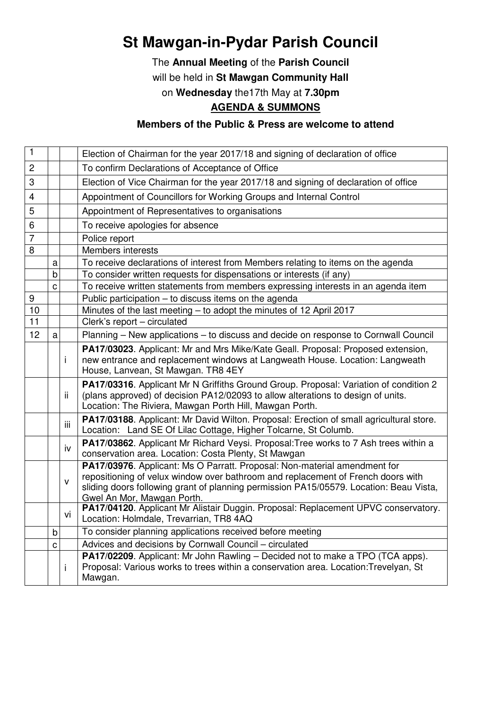## **St Mawgan-in-Pydar Parish Council**

The **Annual Meeting** of the **Parish Council** will be held in **St Mawgan Community Hall**  on **Wednesday** the17th May at **7.30pm**

## **AGENDA & SUMMONS**

## **Members of the Public & Press are welcome to attend**

| 1              |   |              | Election of Chairman for the year 2017/18 and signing of declaration of office                                                                                                                                                                                                        |
|----------------|---|--------------|---------------------------------------------------------------------------------------------------------------------------------------------------------------------------------------------------------------------------------------------------------------------------------------|
| $\mathbf{2}$   |   |              | To confirm Declarations of Acceptance of Office                                                                                                                                                                                                                                       |
| 3              |   |              | Election of Vice Chairman for the year 2017/18 and signing of declaration of office                                                                                                                                                                                                   |
| $\overline{4}$ |   |              | Appointment of Councillors for Working Groups and Internal Control                                                                                                                                                                                                                    |
| 5              |   |              | Appointment of Representatives to organisations                                                                                                                                                                                                                                       |
| 6              |   |              | To receive apologies for absence                                                                                                                                                                                                                                                      |
| $\overline{7}$ |   |              | Police report                                                                                                                                                                                                                                                                         |
| 8              |   |              | Members interests                                                                                                                                                                                                                                                                     |
|                | a |              | To receive declarations of interest from Members relating to items on the agenda                                                                                                                                                                                                      |
|                | b |              | To consider written requests for dispensations or interests (if any)                                                                                                                                                                                                                  |
|                | C |              | To receive written statements from members expressing interests in an agenda item                                                                                                                                                                                                     |
| 9              |   |              | Public participation - to discuss items on the agenda                                                                                                                                                                                                                                 |
| 10             |   |              | Minutes of the last meeting - to adopt the minutes of 12 April 2017                                                                                                                                                                                                                   |
| 11             |   |              | Clerk's report - circulated                                                                                                                                                                                                                                                           |
| 12             | a |              | Planning - New applications - to discuss and decide on response to Cornwall Council                                                                                                                                                                                                   |
|                |   | i            | PA17/03023. Applicant: Mr and Mrs Mike/Kate Geall. Proposal: Proposed extension,<br>new entrance and replacement windows at Langweath House. Location: Langweath<br>House, Lanvean, St Mawgan. TR8 4EY                                                                                |
|                |   | ii.          | PA17/03316. Applicant Mr N Griffiths Ground Group. Proposal: Variation of condition 2<br>(plans approved) of decision PA12/02093 to allow alterations to design of units.<br>Location: The Riviera, Mawgan Porth Hill, Mawgan Porth.                                                  |
|                |   | iii          | PA17/03188. Applicant: Mr David Wilton. Proposal: Erection of small agricultural store.<br>Location: Land SE Of Lilac Cottage, Higher Tolcarne, St Columb.                                                                                                                            |
|                |   | iv           | PA17/03862. Applicant Mr Richard Veysi. Proposal: Tree works to 7 Ash trees within a<br>conservation area. Location: Costa Plenty, St Mawgan                                                                                                                                          |
|                |   | $\mathsf{v}$ | PA17/03976. Applicant: Ms O Parratt. Proposal: Non-material amendment for<br>repositioning of velux window over bathroom and replacement of French doors with<br>sliding doors following grant of planning permission PA15/05579. Location: Beau Vista,<br>Gwel An Mor, Mawgan Porth. |
|                |   | vi           | PA17/04120. Applicant Mr Alistair Duggin. Proposal: Replacement UPVC conservatory.<br>Location: Holmdale, Trevarrian, TR8 4AQ                                                                                                                                                         |
|                | b |              | To consider planning applications received before meeting                                                                                                                                                                                                                             |
|                | C |              | Advices and decisions by Cornwall Council - circulated                                                                                                                                                                                                                                |
|                |   | i            | PA17/02209. Applicant: Mr John Rawling - Decided not to make a TPO (TCA apps).<br>Proposal: Various works to trees within a conservation area. Location: Trevelyan, St<br>Mawgan.                                                                                                     |